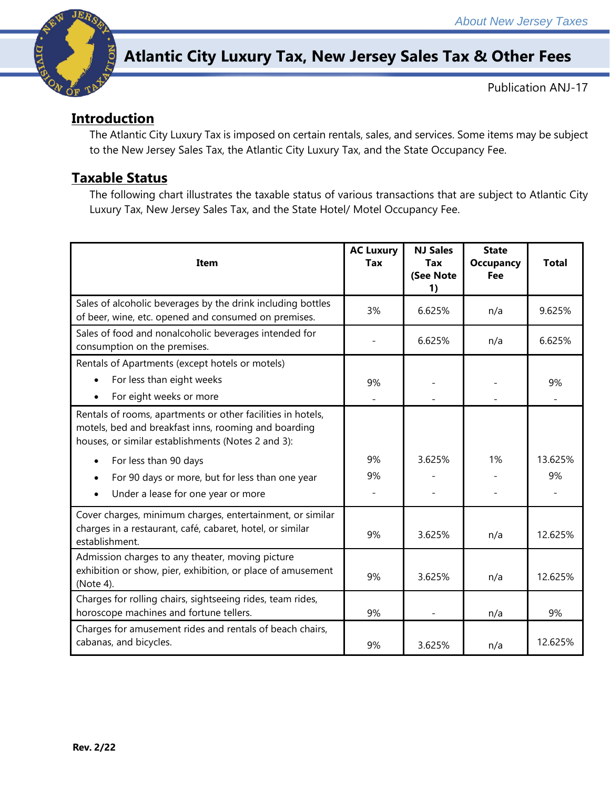

# **Atlantic City Luxury Tax, New Jersey Sales Tax & Other Fees**

Publication ANJ-17

The Atlantic City Luxury Tax is imposed on certain rentals, sales, and services. Some items may be subject to the New Jersey Sales Tax, the Atlantic City Luxury Tax, and the State Occupancy Fee.

# **Taxable Status**

The following chart illustrates the taxable status of various transactions that are subject to Atlantic City Luxury Tax, New Jersey Sales Tax, and the State Hotel/ Motel Occupancy Fee.

| <b>Item</b>                                                                                                                                                               | <b>AC Luxury</b><br><b>Tax</b> | <b>NJ Sales</b><br>Tax<br>(See Note<br>1) | <b>State</b><br><b>Occupancy</b><br>Fee | <b>Total</b>                   |
|---------------------------------------------------------------------------------------------------------------------------------------------------------------------------|--------------------------------|-------------------------------------------|-----------------------------------------|--------------------------------|
| Sales of alcoholic beverages by the drink including bottles<br>of beer, wine, etc. opened and consumed on premises.                                                       | 3%                             | 6.625%                                    | n/a                                     | 9.625%                         |
| Sales of food and nonalcoholic beverages intended for<br>consumption on the premises.                                                                                     |                                | 6.625%                                    | n/a                                     | 6.625%                         |
| Rentals of Apartments (except hotels or motels)<br>For less than eight weeks<br>$\bullet$<br>For eight weeks or more<br>$\bullet$                                         | 9%                             |                                           |                                         | 9%<br>$\overline{\phantom{a}}$ |
| Rentals of rooms, apartments or other facilities in hotels,<br>motels, bed and breakfast inns, rooming and boarding<br>houses, or similar establishments (Notes 2 and 3): |                                |                                           |                                         |                                |
| For less than 90 days<br>$\bullet$                                                                                                                                        | 9%                             | 3.625%                                    | 1%                                      | 13.625%                        |
| For 90 days or more, but for less than one year<br>$\bullet$                                                                                                              | 9%                             |                                           |                                         | 9%                             |
| Under a lease for one year or more<br>$\bullet$                                                                                                                           |                                |                                           |                                         |                                |
| Cover charges, minimum charges, entertainment, or similar<br>charges in a restaurant, café, cabaret, hotel, or similar<br>establishment.                                  | 9%                             | 3.625%                                    | n/a                                     | 12.625%                        |
| Admission charges to any theater, moving picture<br>exhibition or show, pier, exhibition, or place of amusement<br>(Note 4).                                              | 9%                             | 3.625%                                    | n/a                                     | 12.625%                        |
| Charges for rolling chairs, sightseeing rides, team rides,<br>horoscope machines and fortune tellers.                                                                     | 9%                             |                                           | n/a                                     | 9%                             |
| Charges for amusement rides and rentals of beach chairs,<br>cabanas, and bicycles.                                                                                        | 9%                             | 3.625%                                    | n/a                                     | 12.625%                        |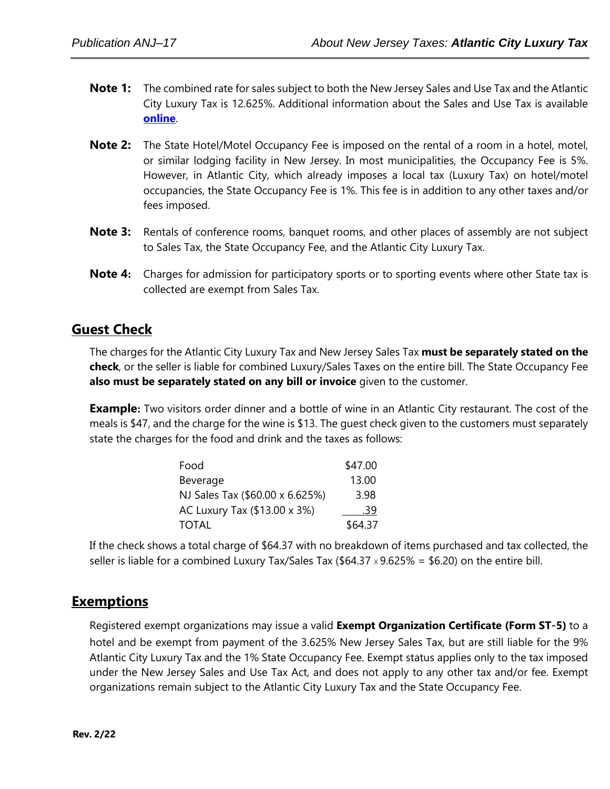- **Note 1:** The combined rate for sales subject to both the New Jersey Sales and Use Tax and the Atlantic City Luxury Tax is 12.625%. Additional information about the Sales and Use Tax is available **[online](http://www.state.nj.us/treasury/taxation/ratechange/su-atlanticcity.shtml)**.
- **Note 2:** The State Hotel/Motel Occupancy Fee is imposed on the rental of a room in a hotel, motel, or similar lodging facility in New Jersey. In most municipalities, the Occupancy Fee is 5%. However, in Atlantic City, which already imposes a local tax (Luxury Tax) on hotel/motel occupancies, the State Occupancy Fee is 1%. This fee is in addition to any other taxes and/or fees imposed.
- **Note 3:** Rentals of conference rooms, banquet rooms, and other places of assembly are not subject to Sales Tax, the State Occupancy Fee, and the Atlantic City Luxury Tax.
- **Note 4:** Charges for admission for participatory sports or to sporting events where other State tax is collected are exempt from Sales Tax.

### **Guest Check**

The charges for the Atlantic City Luxury Tax and New Jersey Sales Tax **must be separately stated on the check**, or the seller is liable for combined Luxury/Sales Taxes on the entire bill. The State Occupancy Fee **also must be separately stated on any bill or invoice** given to the customer.

**Example:** Two visitors order dinner and a bottle of wine in an Atlantic City restaurant. The cost of the meals is \$47, and the charge for the wine is \$13. The guest check given to the customers must separately state the charges for the food and drink and the taxes as follows:

| Food                            | \$47.00 |
|---------------------------------|---------|
| Beverage                        | 13.00   |
| NJ Sales Tax (\$60.00 x 6.625%) | 3.98    |
| AC Luxury Tax (\$13.00 x 3%)    | .39     |
| <b>TOTAL</b>                    | \$64.37 |

If the check shows a total charge of \$64.37 with no breakdown of items purchased and tax collected, the seller is liable for a combined Luxury Tax/Sales Tax (\$64.37  $\times$  9.625% = \$6.20) on the entire bill.

# **Exemptions**

Registered exempt organizations may issue a valid **Exempt Organization Certificate (Form ST‑5)** to a hotel and be exempt from payment of the 3.625% New Jersey Sales Tax, but are still liable for the 9% Atlantic City Luxury Tax and the 1% State Occupancy Fee. Exempt status applies only to the tax imposed under the New Jersey Sales and Use Tax Act, and does not apply to any other tax and/or fee. Exempt organizations remain subject to the Atlantic City Luxury Tax and the State Occupancy Fee.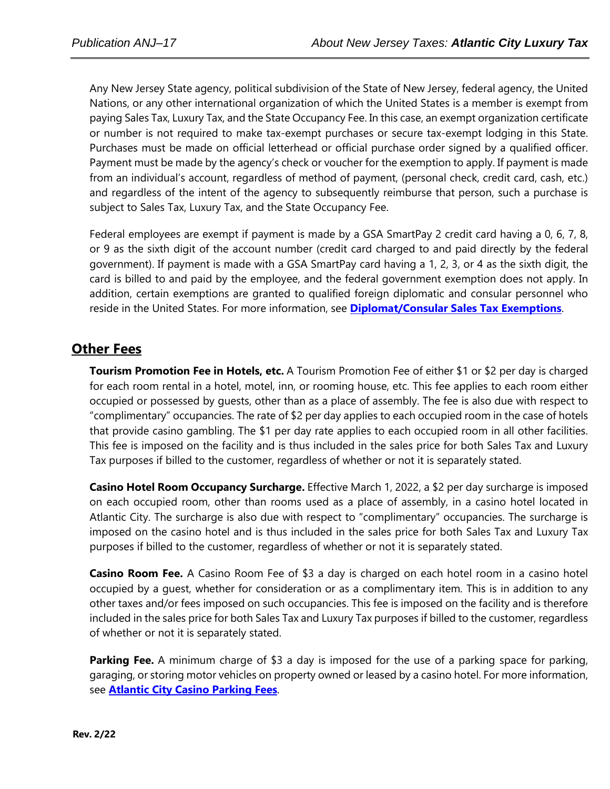Any New Jersey State agency, political subdivision of the State of New Jersey, federal agency, the United Nations, or any other international organization of which the United States is a member is exempt from paying Sales Tax, Luxury Tax, and the State Occupancy Fee. In this case, an exempt organization certificate or number is not required to make tax-exempt purchases or secure tax-exempt lodging in this State. Purchases must be made on official letterhead or official purchase order signed by a qualified officer. Payment must be made by the agency's check or voucher for the exemption to apply. If payment is made from an individual's account, regardless of method of payment, (personal check, credit card, cash, etc.) and regardless of the intent of the agency to subsequently reimburse that person, such a purchase is subject to Sales Tax, Luxury Tax, and the State Occupancy Fee.

Federal employees are exempt if payment is made by a GSA SmartPay 2 credit card having a 0, 6, 7, 8, or 9 as the sixth digit of the account number (credit card charged to and paid directly by the federal government). If payment is made with a GSA SmartPay card having a 1, 2, 3, or 4 as the sixth digit, the card is billed to and paid by the employee, and the federal government exemption does not apply. In addition, certain exemptions are granted to qualified foreign diplomatic and consular personnel who reside in the United States. For more information, see **[Diplomat/Consular Sales Tax Exemptions](http://www.state.nj.us/treasury/taxation/pdf/pubs/tb/tb53.pdf)**.

# **Other Fees**

**Tourism Promotion Fee in Hotels, etc.** A Tourism Promotion Fee of either \$1 or \$2 per day is charged for each room rental in a hotel, motel, inn, or rooming house, etc. This fee applies to each room either occupied or possessed by guests, other than as a place of assembly. The fee is also due with respect to "complimentary" occupancies. The rate of \$2 per day applies to each occupied room in the case of hotels that provide casino gambling. The \$1 per day rate applies to each occupied room in all other facilities. This fee is imposed on the facility and is thus included in the sales price for both Sales Tax and Luxury Tax purposes if billed to the customer, regardless of whether or not it is separately stated.

**Casino Hotel Room Occupancy Surcharge.** Effective March 1, 2022, a \$2 per day surcharge is imposed on each occupied room, other than rooms used as a place of assembly, in a casino hotel located in Atlantic City. The surcharge is also due with respect to "complimentary" occupancies. The surcharge is imposed on the casino hotel and is thus included in the sales price for both Sales Tax and Luxury Tax purposes if billed to the customer, regardless of whether or not it is separately stated.

**Casino Room Fee.** A Casino Room Fee of \$3 a day is charged on each hotel room in a casino hotel occupied by a guest, whether for consideration or as a complimentary item. This is in addition to any other taxes and/or fees imposed on such occupancies. This fee is imposed on the facility and is therefore included in the sales price for both Sales Tax and Luxury Tax purposes if billed to the customer, regardless of whether or not it is separately stated.

**Parking Fee.** A minimum charge of \$3 a day is imposed for the use of a parking space for parking, garaging, or storing motor vehicles on property owned or leased by a casino hotel. For more information, see **Atlantic [City Casino Parking Fees](http://www.state.nj.us/treasury/taxation/pdf/pubs/tb/tb22r.pdf)***.*